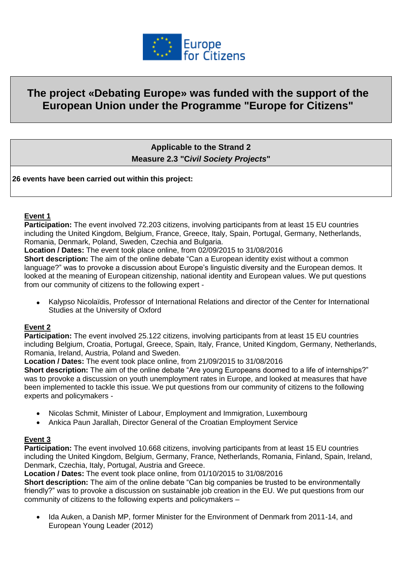

# **The project «Debating Europe» was funded with the support of the European Union under the Programme "Europe for Citizens"**

**Applicable to the Strand 2 Measure 2.3 "C***ivil Society Projects***"**

**26 events have been carried out within this project:**

#### **Event 1**

**Participation:** The event involved 72.203 citizens, involving participants from at least 15 EU countries including the United Kingdom, Belgium, France, Greece, Italy, Spain, Portugal, Germany, Netherlands, Romania, Denmark, Poland, Sweden, Czechia and Bulgaria.

**Location / Dates:** The event took place online, from 02/09/2015 to 31/08/2016

**Short description:** The aim of the online debate "Can a European identity exist without a common language?" was to provoke a discussion about Europe's linguistic diversity and the European demos. It looked at the meaning of European citizenship, national identity and European values. We put questions from our community of citizens to the following expert -

 Kalypso Nicolaïdis, Professor of International Relations and director of the Center for International Studies at the University of Oxford

#### **Event 2**

**Participation:** The event involved 25.122 citizens, involving participants from at least 15 EU countries including Belgium, Croatia, Portugal, Greece, Spain, Italy, France, United Kingdom, Germany, Netherlands, Romania, Ireland, Austria, Poland and Sweden.

**Location / Dates:** The event took place online, from 21/09/2015 to 31/08/2016

**Short description:** The aim of the online debate "Are young Europeans doomed to a life of internships?" was to provoke a discussion on youth unemployment rates in Europe, and looked at measures that have been implemented to tackle this issue. We put questions from our community of citizens to the following experts and policymakers -

- Nicolas Schmit, Minister of Labour, Employment and Immigration, Luxembourg
- Ankica Paun Jarallah, Director General of the Croatian Employment Service

#### **Event 3**

**Participation:** The event involved 10.668 citizens, involving participants from at least 15 EU countries including the United Kingdom, Belgium, Germany, France, Netherlands, Romania, Finland, Spain, Ireland, Denmark, Czechia, Italy, Portugal, Austria and Greece.

**Location / Dates:** The event took place online, from 01/10/2015 to 31/08/2016

**Short description:** The aim of the online debate "Can big companies be trusted to be environmentally friendly?" was to provoke a discussion on sustainable job creation in the EU. We put questions from our community of citizens to the following experts and policymakers –

 Ida Auken, a Danish MP, former Minister for the Environment of Denmark from 2011-14, and European Young Leader (2012)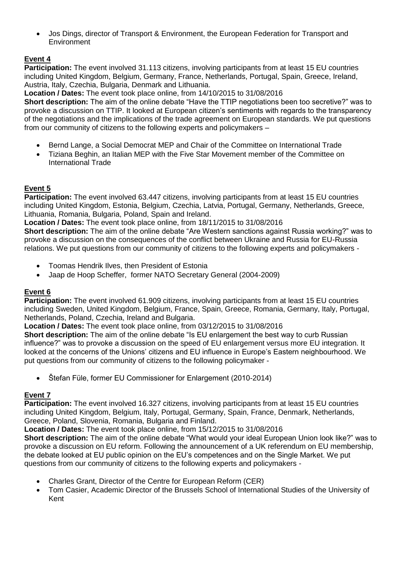Jos Dings, director of Transport & Environment, the European Federation for Transport and **Environment** 

# **Event 4**

**Participation:** The event involved 31.113 citizens, involving participants from at least 15 EU countries including United Kingdom, Belgium, Germany, France, Netherlands, Portugal, Spain, Greece, Ireland, Austria, Italy, Czechia, Bulgaria, Denmark and Lithuania.

**Location / Dates:** The event took place online, from 14/10/2015 to 31/08/2016

**Short description:** The aim of the online debate "Have the TTIP negotiations been too secretive?" was to provoke a discussion on TTIP. It looked at European citizen's sentiments with regards to the transparency of the negotiations and the implications of the trade agreement on European standards. We put questions from our community of citizens to the following experts and policymakers –

- Bernd Lange, a Social Democrat MEP and Chair of the Committee on International Trade
- Tiziana Beghin, an Italian MEP with the Five Star Movement member of the Committee on International Trade

# **Event 5**

**Participation:** The event involved 63.447 citizens, involving participants from at least 15 EU countries including United Kingdom, Estonia, Belgium, Czechia, Latvia, Portugal, Germany, Netherlands, Greece, Lithuania, Romania, Bulgaria, Poland, Spain and Ireland.

**Location / Dates:** The event took place online, from 18/11/2015 to 31/08/2016

**Short description:** The aim of the online debate "Are Western sanctions against Russia working?" was to provoke a discussion on the consequences of the conflict between Ukraine and Russia for EU-Russia relations. We put questions from our community of citizens to the following experts and policymakers -

- Toomas Hendrik Ilves, then President of Estonia
- Jaap de Hoop Scheffer, former NATO Secretary General (2004-2009)

## **Event 6**

**Participation:** The event involved 61.909 citizens, involving participants from at least 15 EU countries including Sweden, United Kingdom, Belgium, France, Spain, Greece, Romania, Germany, Italy, Portugal, Netherlands, Poland, Czechia, Ireland and Bulgaria.

**Location / Dates:** The event took place online, from 03/12/2015 to 31/08/2016

**Short description:** The aim of the online debate "Is EU enlargement the best way to curb Russian influence?" was to provoke a discussion on the speed of EU enlargement versus more EU integration. It looked at the concerns of the Unions' citizens and EU influence in Europe's Eastern neighbourhood. We put questions from our community of citizens to the following policymaker -

• Štefan Füle, former EU Commissioner for Enlargement (2010-2014)

## **Event 7**

**Participation:** The event involved 16.327 citizens, involving participants from at least 15 EU countries including United Kingdom, Belgium, Italy, Portugal, Germany, Spain, France, Denmark, Netherlands, Greece, Poland, Slovenia, Romania, Bulgaria and Finland.

**Location / Dates:** The event took place online, from 15/12/2015 to 31/08/2016

**Short description:** The aim of the online debate "What would your ideal European Union look like?" was to provoke a discussion on EU reform. Following the announcement of a UK referendum on EU membership, the debate looked at EU public opinion on the EU's competences and on the Single Market. We put questions from our community of citizens to the following experts and policymakers -

- Charles Grant, Director of the Centre for European Reform (CER)
- Tom Casier, Academic Director of the Brussels School of International Studies of the University of Kent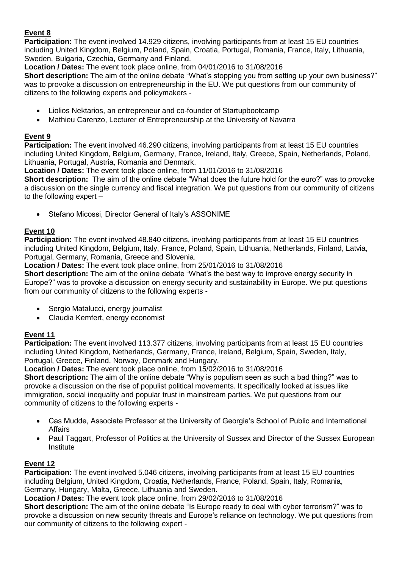## **Event 8**

**Participation:** The event involved 14.929 citizens, involving participants from at least 15 EU countries including United Kingdom, Belgium, Poland, Spain, Croatia, Portugal, Romania, France, Italy, Lithuania, Sweden, Bulgaria, Czechia, Germany and Finland.

**Location / Dates:** The event took place online, from 04/01/2016 to 31/08/2016

**Short description:** The aim of the online debate "What's stopping you from setting up your own business?" was to provoke a discussion on entrepreneurship in the EU. We put questions from our community of citizens to the following experts and policymakers -

- Liolios Nektarios, an entrepreneur and co-founder of Startupbootcamp
- Mathieu Carenzo, Lecturer of Entrepreneurship at the University of Navarra

## **Event 9**

**Participation:** The event involved 46.290 citizens, involving participants from at least 15 EU countries including United Kingdom, Belgium, Germany, France, Ireland, Italy, Greece, Spain, Netherlands, Poland, Lithuania, Portugal, Austria, Romania and Denmark.

**Location / Dates:** The event took place online, from 11/01/2016 to 31/08/2016

**Short description:** The aim of the online debate "What does the future hold for the euro?" was to provoke a discussion on the single currency and fiscal integration. We put questions from our community of citizens to the following expert –

Stefano Micossi, Director General of Italy's ASSONIME

## **Event 10**

**Participation:** The event involved 48.840 citizens, involving participants from at least 15 EU countries including United Kingdom, Belgium, Italy, France, Poland, Spain, Lithuania, Netherlands, Finland, Latvia, Portugal, Germany, Romania, Greece and Slovenia.

**Location / Dates:** The event took place online, from 25/01/2016 to 31/08/2016

**Short description:** The aim of the online debate "What's the best way to improve energy security in Europe?" was to provoke a discussion on energy security and sustainability in Europe. We put questions from our community of citizens to the following experts -

- Sergio Matalucci, energy journalist
- Claudia Kemfert, energy economist

## **Event 11**

**Participation:** The event involved 113.377 citizens, involving participants from at least 15 EU countries including United Kingdom, Netherlands, Germany, France, Ireland, Belgium, Spain, Sweden, Italy, Portugal, Greece, Finland, Norway, Denmark and Hungary.

**Location / Dates:** The event took place online, from 15/02/2016 to 31/08/2016

**Short description:** The aim of the online debate "Why is populism seen as such a bad thing?" was to provoke a discussion on the rise of populist political movements. It specifically looked at issues like immigration, social inequality and popular trust in mainstream parties. We put questions from our community of citizens to the following experts -

- Cas Mudde, Associate Professor at the University of Georgia's School of Public and International Affairs
- Paul Taggart, Professor of Politics at the University of Sussex and Director of the Sussex European **Institute**

# **Event 12**

**Participation:** The event involved 5.046 citizens, involving participants from at least 15 EU countries including Belgium, United Kingdom, Croatia, Netherlands, France, Poland, Spain, Italy, Romania, Germany, Hungary, Malta, Greece, Lithuania and Sweden.

**Location / Dates:** The event took place online, from 29/02/2016 to 31/08/2016

**Short description:** The aim of the online debate "Is Europe ready to deal with cyber terrorism?" was to provoke a discussion on new security threats and Europe's reliance on technology. We put questions from our community of citizens to the following expert -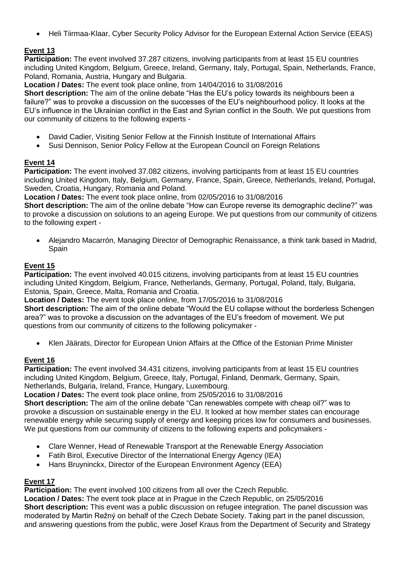Heli Tiirmaa-Klaar, Cyber Security Policy Advisor for the European External Action Service (EEAS)

# **Event 13**

**Participation:** The event involved 37.287 citizens, involving participants from at least 15 EU countries including United Kingdom, Belgium, Greece, Ireland, Germany, Italy, Portugal, Spain, Netherlands, France, Poland, Romania, Austria, Hungary and Bulgaria.

**Location / Dates:** The event took place online, from 14/04/2016 to 31/08/2016

**Short description:** The aim of the online debate "Has the EU's policy towards its neighbours been a failure?" was to provoke a discussion on the successes of the EU's neighbourhood policy. It looks at the EU's influence in the Ukrainian conflict in the East and Syrian conflict in the South. We put questions from our community of citizens to the following experts -

- David Cadier, Visiting Senior Fellow at the Finnish Institute of International Affairs
- Susi Dennison, Senior Policy Fellow at the European Council on Foreign Relations

# **Event 14**

**Participation:** The event involved 37.082 citizens, involving participants from at least 15 EU countries including United Kingdom, Italy, Belgium, Germany, France, Spain, Greece, Netherlands, Ireland, Portugal, Sweden, Croatia, Hungary, Romania and Poland.

**Location / Dates:** The event took place online, from 02/05/2016 to 31/08/2016

**Short description:** The aim of the online debate "How can Europe reverse its demographic decline?" was to provoke a discussion on solutions to an ageing Europe. We put questions from our community of citizens to the following expert -

 Alejandro Macarrón, Managing Director of Demographic Renaissance, a think tank based in Madrid, **Spain** 

## **Event 15**

**Participation:** The event involved 40.015 citizens, involving participants from at least 15 EU countries including United Kingdom, Belgium, France, Netherlands, Germany, Portugal, Poland, Italy, Bulgaria, Estonia, Spain, Greece, Malta, Romania and Croatia.

**Location / Dates:** The event took place online, from 17/05/2016 to 31/08/2016

**Short description:** The aim of the online debate "Would the EU collapse without the borderless Schengen area?" was to provoke a discussion on the advantages of the EU's freedom of movement. We put questions from our community of citizens to the following policymaker -

Klen Jäärats, Director for European Union Affairs at the Office of the Estonian Prime Minister

# **Event 16**

**Participation:** The event involved 34.431 citizens, involving participants from at least 15 EU countries including United Kingdom, Belgium, Greece, Italy, Portugal, Finland, Denmark, Germany, Spain, Netherlands, Bulgaria, Ireland, France, Hungary, Luxembourg.

**Location / Dates:** The event took place online, from 25/05/2016 to 31/08/2016

**Short description:** The aim of the online debate "Can renewables compete with cheap oil?" was to provoke a discussion on sustainable energy in the EU. It looked at how member states can encourage renewable energy while securing supply of energy and keeping prices low for consumers and businesses. We put questions from our community of citizens to the following experts and policymakers -

- Clare Wenner, Head of Renewable Transport at the Renewable Energy Association
- Fatih Birol, Executive Director of the International Energy Agency (IEA)
- Hans Bruyninckx, Director of the European Environment Agency (EEA)

## **Event 17**

**Participation:** The event involved 100 citizens from all over the Czech Republic.

**Location / Dates:** The event took place at in Prague in the Czech Republic, on 25/05/2016 **Short description:** This event was a public discussion on refugee integration. The panel discussion was moderated by Martin Režný on behalf of the Czech Debate Society. Taking part in the panel discussion, and answering questions from the public, were Josef Kraus from the Department of Security and Strategy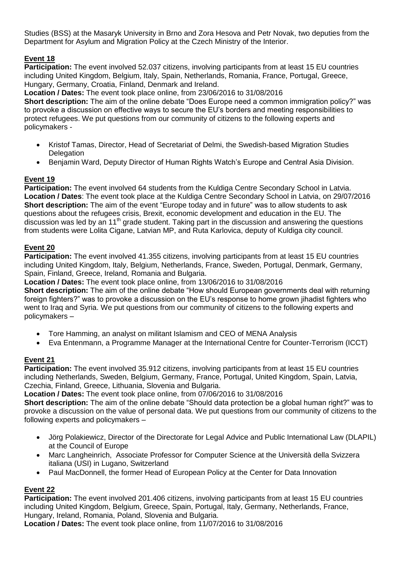Studies (BSS) at the Masaryk University in Brno and Zora Hesova and Petr Novak, two deputies from the Department for Asylum and Migration Policy at the Czech Ministry of the Interior.

# **Event 18**

**Participation:** The event involved 52.037 citizens, involving participants from at least 15 EU countries including United Kingdom, Belgium, Italy, Spain, Netherlands, Romania, France, Portugal, Greece, Hungary, Germany, Croatia, Finland, Denmark and Ireland.

**Location / Dates:** The event took place online, from 23/06/2016 to 31/08/2016

**Short description:** The aim of the online debate "Does Europe need a common immigration policy?" was to provoke a discussion on effective ways to secure the EU's borders and meeting responsibilities to protect refugees. We put questions from our community of citizens to the following experts and policymakers -

- Kristof Tamas, Director, Head of Secretariat of Delmi, the Swedish-based Migration Studies **Delegation**
- Benjamin Ward, Deputy Director of Human Rights Watch's Europe and Central Asia Division.

## **Event 19**

**Participation:** The event involved 64 students from the Kuldiga Centre Secondary School in Latvia. **Location / Dates**: The event took place at the Kuldiga Centre Secondary School in Latvia, on 29/07/2016 **Short description:** The aim of the event "Europe today and in future" was to allow students to ask questions about the refugees crisis, Brexit, economic development and education in the EU. The discussion was led by an 11<sup>th</sup> grade student. Taking part in the discussion and answering the questions from students were Lolita Cigane, Latvian MP, and Ruta Karlovica, deputy of Kuldiga city council.

## **Event 20**

**Participation:** The event involved 41.355 citizens, involving participants from at least 15 EU countries including United Kingdom, Italy, Belgium, Netherlands, France, Sweden, Portugal, Denmark, Germany, Spain, Finland, Greece, Ireland, Romania and Bulgaria.

**Location / Dates:** The event took place online, from 13/06/2016 to 31/08/2016

**Short description:** The aim of the online debate "How should European governments deal with returning foreign fighters?" was to provoke a discussion on the EU's response to home grown jihadist fighters who went to Iraq and Syria. We put questions from our community of citizens to the following experts and policymakers –

- Tore Hamming, an analyst on militant Islamism and CEO of MENA Analysis
- Eva Entenmann, a Programme Manager at the International Centre for Counter-Terrorism (ICCT)

#### **Event 21**

**Participation:** The event involved 35.912 citizens, involving participants from at least 15 EU countries including Netherlands, Sweden, Belgium, Germany, France, Portugal, United Kingdom, Spain, Latvia, Czechia, Finland, Greece, Lithuania, Slovenia and Bulgaria.

**Location / Dates:** The event took place online, from 07/06/2016 to 31/08/2016

**Short description:** The aim of the online debate "Should data protection be a global human right?" was to provoke a discussion on the value of personal data. We put questions from our community of citizens to the following experts and policymakers –

- Jörg Polakiewicz, Director of the Directorate for Legal Advice and Public International Law (DLAPIL) at the Council of Europe
- Marc Langheinrich, Associate Professor for Computer Science at the Università della Svizzera italiana (USI) in Lugano, Switzerland
- Paul MacDonnell, the former Head of European Policy at the Center for Data Innovation

## **Event 22**

**Participation:** The event involved 201.406 citizens, involving participants from at least 15 EU countries including United Kingdom, Belgium, Greece, Spain, Portugal, Italy, Germany, Netherlands, France, Hungary, Ireland, Romania, Poland, Slovenia and Bulgaria.

**Location / Dates:** The event took place online, from 11/07/2016 to 31/08/2016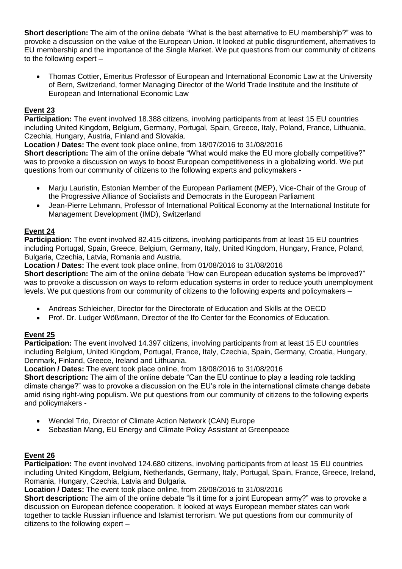**Short description:** The aim of the online debate "What is the best alternative to EU membership?" was to provoke a discussion on the value of the European Union. It looked at public disgruntlement, alternatives to EU membership and the importance of the Single Market. We put questions from our community of citizens to the following expert –

 Thomas Cottier, Emeritus Professor of European and International Economic Law at the University of Bern, Switzerland, former Managing Director of the World Trade Institute and the Institute of European and International Economic Law

## **Event 23**

**Participation:** The event involved 18.388 citizens, involving participants from at least 15 EU countries including United Kingdom, Belgium, Germany, Portugal, Spain, Greece, Italy, Poland, France, Lithuania, Czechia, Hungary, Austria, Finland and Slovakia.

**Location / Dates:** The event took place online, from 18/07/2016 to 31/08/2016

**Short description:** The aim of the online debate "What would make the EU more globally competitive?" was to provoke a discussion on ways to boost European competitiveness in a globalizing world. We put questions from our community of citizens to the following experts and policymakers -

- Marju Lauristin, Estonian Member of the European Parliament (MEP), Vice-Chair of the Group of the Progressive Alliance of Socialists and Democrats in the European Parliament
- Jean-Pierre Lehmann, Professor of International Political Economy at the International Institute for Management Development (IMD), Switzerland

## **Event 24**

**Participation:** The event involved 82.415 citizens, involving participants from at least 15 EU countries including Portugal, Spain, Greece, Belgium, Germany, Italy, United Kingdom, Hungary, France, Poland, Bulgaria, Czechia, Latvia, Romania and Austria.

**Location / Dates:** The event took place online, from 01/08/2016 to 31/08/2016

**Short description:** The aim of the online debate "How can European education systems be improved?" was to provoke a discussion on ways to reform education systems in order to reduce youth unemployment levels. We put questions from our community of citizens to the following experts and policymakers –

- Andreas Schleicher, Director for the Directorate of Education and Skills at the OECD
- Prof. Dr. Ludger Wößmann, Director of the Ifo Center for the Economics of Education.

## **Event 25**

**Participation:** The event involved 14.397 citizens, involving participants from at least 15 EU countries including Belgium, United Kingdom, Portugal, France, Italy, Czechia, Spain, Germany, Croatia, Hungary, Denmark, Finland, Greece, Ireland and Lithuania.

**Location / Dates:** The event took place online, from 18/08/2016 to 31/08/2016

**Short description:** The aim of the online debate "Can the EU continue to play a leading role tackling climate change?" was to provoke a discussion on the EU's role in the international climate change debate amid rising right-wing populism. We put questions from our community of citizens to the following experts and policymakers -

- Wendel Trio, Director of Climate Action Network (CAN) Europe
- Sebastian Mang, EU Energy and Climate Policy Assistant at Greenpeace

#### **Event 26**

**Participation:** The event involved 124.680 citizens, involving participants from at least 15 EU countries including United Kingdom, Belgium, Netherlands, Germany, Italy, Portugal, Spain, France, Greece, Ireland, Romania, Hungary, Czechia, Latvia and Bulgaria.

**Location / Dates:** The event took place online, from 26/08/2016 to 31/08/2016

**Short description:** The aim of the online debate "Is it time for a joint European army?" was to provoke a discussion on European defence cooperation. It looked at ways European member states can work together to tackle Russian influence and Islamist terrorism. We put questions from our community of citizens to the following expert –